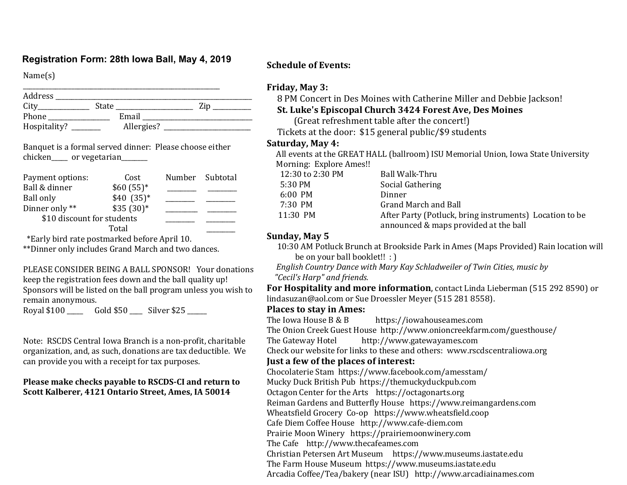# **Registration Form: 28th Iowa Ball, May 4, 2019 Schedule of Events:**

Name(s) 

| Address      |       |            |     |  |
|--------------|-------|------------|-----|--|
| City         | State |            | Zin |  |
| Phone        |       | Email      |     |  |
| Hospitality? |       | Allergies? |     |  |

Banquet is a formal served dinner: Please choose either chicken or vegetarian

| Payment options:           | Cost       | Number Subtotal |
|----------------------------|------------|-----------------|
| Ball & dinner              | $$60(55)*$ |                 |
| Ball only                  | $$40(35)*$ |                 |
| Dinner only **             | $$35(30)*$ |                 |
| \$10 discount for students |            |                 |
|                            |            |                 |

 \*Early bird rate postmarked before April 10. 

\*\*Dinner only includes Grand March and two dances.

PLEASE CONSIDER BEING A BALL SPONSOR! Your donations keep the registration fees down and the ball quality up! Sponsors will be listed on the ball program unless you wish to remain anonymous.

Royal \$100 \_\_\_\_\_ Gold \$50 \_\_\_\_ Silver \$25 \_\_\_\_\_\_ 

Note: RSCDS Central Iowa Branch is a non-profit, charitable organization, and, as such, donations are tax deductible. We can provide you with a receipt for tax purposes.

#### Please make checks payable to RSCDS-CI and return to Scott Kalberer, 4121 Ontario Street, Ames, IA 50014

#### **Friday, May 3:**

8 PM Concert in Des Moines with Catherine Miller and Debbie Jackson!

 **St. Luke's Episcopal Church 3424 Forest Ave, Des Moines**

(Great refreshment table after the concert!)

Tickets at the door: \$15 general public/\$9 students

#### **Saturday, May 4:**

All events at the GREAT HALL (ballroom) ISU Memorial Union, Iowa State University Morning: Explore Ames!!

| 12:30 to 2:30 PM | Ball Walk-Thru                                          |
|------------------|---------------------------------------------------------|
| 5:30 PM          | Social Gathering                                        |
| $6:00$ PM        | Dinner                                                  |
| 7:30 PM          | Grand March and Ball                                    |
| 11:30 PM         | After Party (Potluck, bring instruments) Location to be |
|                  | announced & maps provided at the ball                   |

#### **Sunday, May 5**

 10:30 AM Potluck Brunch at Brookside Park in Ames (Maps Provided) Rain location will be on your ball booklet!!  $:$  )

*English Country Dance with Mary Kay Schladweiler of Twin Cities, music by "Cecil's Harp" and friends.*

**For Hospitality and more information**, contact Linda Lieberman (515 292 8590) or lindasuzan@aol.com or Sue Droessler Meyer (515 281 8558).

### **Places to stay in Ames:**

The Iowa House  $B & B$  https://iowahouseames.com The Onion Creek Guest House http://www.onioncreekfarm.com/guesthouse/ The Gateway Hotel http://www.gatewayames.com Check our website for links to these and others: www.rscdscentraliowa.org **Just a few of the places of interest:** Chocolaterie Stam https://www.facebook.com/amesstam/ Mucky Duck British Pub https://themuckyduckpub.com Octagon Center for the Arts https://octagonarts.org Reiman Gardens and Butterfly House https://www.reimangardens.com Wheatsfield Grocery Co-op https://www.wheatsfield.coop Cafe Diem Coffee House http://www.cafe-diem.com Prairie Moon Winery https://prairiemoonwinery.com The Cafe http://www.thecafeames.com Christian Petersen Art Museum https://www.museums.iastate.edu The Farm House Museum https://www.museums.iastate.edu

Arcadia Coffee/Tea/bakery (near ISU) http://www.arcadiainames.com